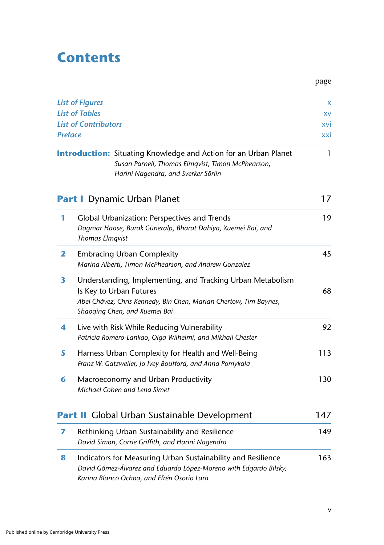## **Contents**

| <b>List of Figures</b><br><b>List of Tables</b><br><b>List of Contributors</b><br><b>Preface</b> |                                                                     | X<br>XV<br><b>XVI</b><br>xxi                                                                                                                                        |     |
|--------------------------------------------------------------------------------------------------|---------------------------------------------------------------------|---------------------------------------------------------------------------------------------------------------------------------------------------------------------|-----|
|                                                                                                  |                                                                     | <b>Introduction:</b> Situating Knowledge and Action for an Urban Planet<br>Susan Parnell, Thomas Elmqvist, Timon McPhearson,<br>Harini Nagendra, and Sverker Sörlin | 1   |
|                                                                                                  | <b>Part I</b> Dynamic Urban Planet                                  |                                                                                                                                                                     | 17  |
| 1                                                                                                | <b>Thomas Elmqvist</b>                                              | Global Urbanization: Perspectives and Trends<br>Dagmar Haase, Burak Güneralp, Bharat Dahiya, Xuemei Bai, and                                                        | 19  |
| 2                                                                                                | <b>Embracing Urban Complexity</b>                                   | Marina Alberti, Timon McPhearson, and Andrew Gonzalez                                                                                                               | 45  |
| 3                                                                                                | Is Key to Urban Futures<br>Shaoqing Chen, and Xuemei Bai            | Understanding, Implementing, and Tracking Urban Metabolism<br>Abel Chávez, Chris Kennedy, Bin Chen, Marian Chertow, Tim Baynes,                                     | 68  |
| 4                                                                                                |                                                                     | Live with Risk While Reducing Vulnerability<br>Patricia Romero-Lankao, Olga Wilhelmi, and Mikhail Chester                                                           | 92  |
| 5                                                                                                |                                                                     | Harness Urban Complexity for Health and Well-Being<br>Franz W. Gatzweiler, Jo Ivey Boufford, and Anna Pomykala                                                      | 113 |
| 6                                                                                                | Macroeconomy and Urban Productivity<br>Michael Cohen and Lena Simet |                                                                                                                                                                     | 130 |
|                                                                                                  |                                                                     | <b>Part II</b> Global Urban Sustainable Development                                                                                                                 | 147 |
| 7                                                                                                |                                                                     | Rethinking Urban Sustainability and Resilience<br>David Simon, Corrie Griffith, and Harini Nagendra                                                                 | 149 |
| 8                                                                                                |                                                                     | Indicators for Measuring Urban Sustainability and Resilience<br>David Gómez-Álvarez and Eduardo López-Moreno with Edgardo Bilsky,                                   | 163 |

page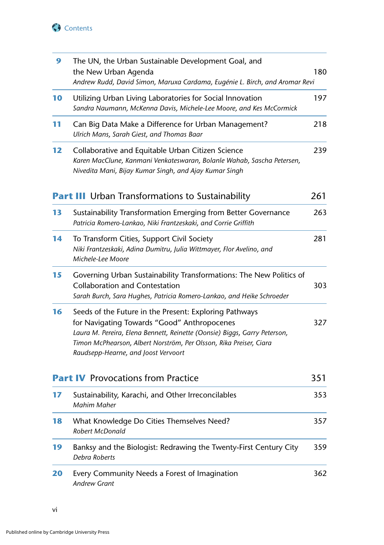

| 9  | The UN, the Urban Sustainable Development Goal, and<br>the New Urban Agenda<br>Andrew Rudd, David Simon, Maruxa Cardama, Eugénie L. Birch, and Aromar Revi                                                                                                                                      | 180 |
|----|-------------------------------------------------------------------------------------------------------------------------------------------------------------------------------------------------------------------------------------------------------------------------------------------------|-----|
| 10 | Utilizing Urban Living Laboratories for Social Innovation<br>Sandra Naumann, McKenna Davis, Michele-Lee Moore, and Kes McCormick                                                                                                                                                                | 197 |
| 11 | Can Big Data Make a Difference for Urban Management?<br>Ulrich Mans, Sarah Giest, and Thomas Baar                                                                                                                                                                                               | 218 |
| 12 | Collaborative and Equitable Urban Citizen Science<br>Karen MacClune, Kanmani Venkateswaran, Bolanle Wahab, Sascha Petersen,<br>Nivedita Mani, Bijay Kumar Singh, and Ajay Kumar Singh                                                                                                           | 239 |
|    | <b>Part III</b> Urban Transformations to Sustainability                                                                                                                                                                                                                                         | 261 |
| 13 | Sustainability Transformation Emerging from Better Governance<br>Patricia Romero-Lankao, Niki Frantzeskaki, and Corrie Griffith                                                                                                                                                                 | 263 |
| 14 | To Transform Cities, Support Civil Society<br>Niki Frantzeskaki, Adina Dumitru, Julia Wittmayer, Flor Avelino, and<br>Michele-Lee Moore                                                                                                                                                         | 281 |
| 15 | Governing Urban Sustainability Transformations: The New Politics of<br><b>Collaboration and Contestation</b><br>Sarah Burch, Sara Hughes, Patricia Romero-Lankao, and Heike Schroeder                                                                                                           | 303 |
| 16 | Seeds of the Future in the Present: Exploring Pathways<br>for Navigating Towards "Good" Anthropocenes<br>Laura M. Pereira, Elena Bennett, Reinette (Oonsie) Biggs, Garry Peterson,<br>Timon McPhearson, Albert Norström, Per Olsson, Rika Preiser, Ciara<br>Raudsepp-Hearne, and Joost Vervoort | 327 |
|    | <b>Part IV</b> Provocations from Practice                                                                                                                                                                                                                                                       |     |
| 17 | Sustainability, Karachi, and Other Irreconcilables<br><b>Mahim Maher</b>                                                                                                                                                                                                                        | 353 |
| 18 | What Knowledge Do Cities Themselves Need?<br>Robert McDonald                                                                                                                                                                                                                                    | 357 |
| 19 | Banksy and the Biologist: Redrawing the Twenty-First Century City<br>Debra Roberts                                                                                                                                                                                                              | 359 |
| 20 | Every Community Needs a Forest of Imagination<br><b>Andrew Grant</b>                                                                                                                                                                                                                            | 362 |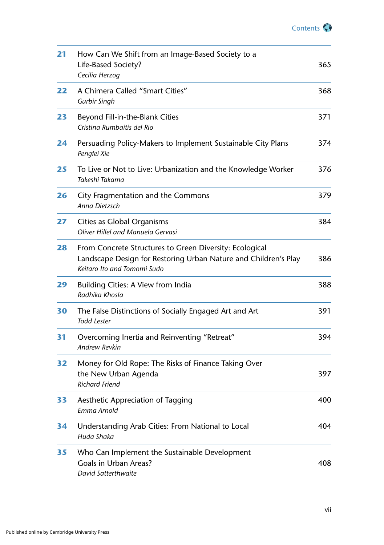

| 21 | How Can We Shift from an Image-Based Society to a<br>Life-Based Society?<br>Cecilia Herzog                                                                | 365 |
|----|-----------------------------------------------------------------------------------------------------------------------------------------------------------|-----|
| 22 | A Chimera Called "Smart Cities"<br><b>Gurbir Singh</b>                                                                                                    | 368 |
| 23 | Beyond Fill-in-the-Blank Cities<br>Cristina Rumbaitis del Rio                                                                                             | 371 |
| 24 | Persuading Policy-Makers to Implement Sustainable City Plans<br>Pengfei Xie                                                                               | 374 |
| 25 | To Live or Not to Live: Urbanization and the Knowledge Worker<br>Takeshi Takama                                                                           | 376 |
| 26 | City Fragmentation and the Commons<br>Anna Dietzsch                                                                                                       | 379 |
| 27 | Cities as Global Organisms<br>Oliver Hillel and Manuela Gervasi                                                                                           | 384 |
| 28 | From Concrete Structures to Green Diversity: Ecological<br>Landscape Design for Restoring Urban Nature and Children's Play<br>Keitaro Ito and Tomomi Sudo | 386 |
| 29 | Building Cities: A View from India<br>Radhika Khosla                                                                                                      | 388 |
| 30 | The False Distinctions of Socially Engaged Art and Art<br><b>Todd Lester</b>                                                                              | 391 |
| 31 | Overcoming Inertia and Reinventing "Retreat"<br>Andrew Revkin                                                                                             | 394 |
| 32 | Money for Old Rope: The Risks of Finance Taking Over<br>the New Urban Agenda<br><b>Richard Friend</b>                                                     | 397 |
| 33 | Aesthetic Appreciation of Tagging<br>Emma Arnold                                                                                                          |     |
| 34 | Understanding Arab Cities: From National to Local<br>Huda Shaka                                                                                           | 404 |
| 35 | Who Can Implement the Sustainable Development<br><b>Goals in Urban Areas?</b><br>David Satterthwaite                                                      | 408 |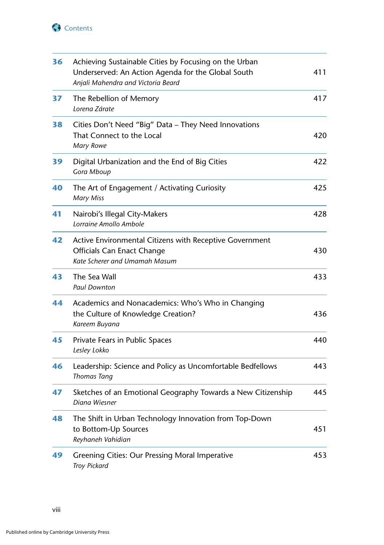

| 36 | Achieving Sustainable Cities by Focusing on the Urban<br>Underserved: An Action Agenda for the Global South<br>Anjali Mahendra and Victoria Beard | 411 |
|----|---------------------------------------------------------------------------------------------------------------------------------------------------|-----|
| 37 | The Rebellion of Memory<br>Lorena Zárate                                                                                                          | 417 |
| 38 | Cities Don't Need "Big" Data - They Need Innovations<br>That Connect to the Local<br><b>Mary Rowe</b>                                             | 420 |
| 39 | Digital Urbanization and the End of Big Cities<br>Gora Mboup                                                                                      | 422 |
| 40 | The Art of Engagement / Activating Curiosity<br><b>Mary Miss</b>                                                                                  | 425 |
| 41 | Nairobi's Illegal City-Makers<br>Lorraine Amollo Ambole                                                                                           | 428 |
| 42 | Active Environmental Citizens with Receptive Government<br><b>Officials Can Enact Change</b><br>Kate Scherer and Umamah Masum                     | 430 |
| 43 | The Sea Wall<br><b>Paul Downton</b>                                                                                                               | 433 |
| 44 | Academics and Nonacademics: Who's Who in Changing<br>the Culture of Knowledge Creation?<br>Kareem Buyana                                          | 436 |
| 45 | Private Fears in Public Spaces<br>Lesley Lokko                                                                                                    | 440 |
| 46 | Leadership: Science and Policy as Uncomfortable Bedfellows<br><b>Thomas Tang</b>                                                                  | 443 |
| 47 | Sketches of an Emotional Geography Towards a New Citizenship<br>Diana Wiesner                                                                     | 445 |
| 48 | The Shift in Urban Technology Innovation from Top-Down<br>to Bottom-Up Sources<br>Reyhaneh Vahidian                                               | 451 |
| 49 | Greening Cities: Our Pressing Moral Imperative<br><b>Troy Pickard</b>                                                                             | 453 |